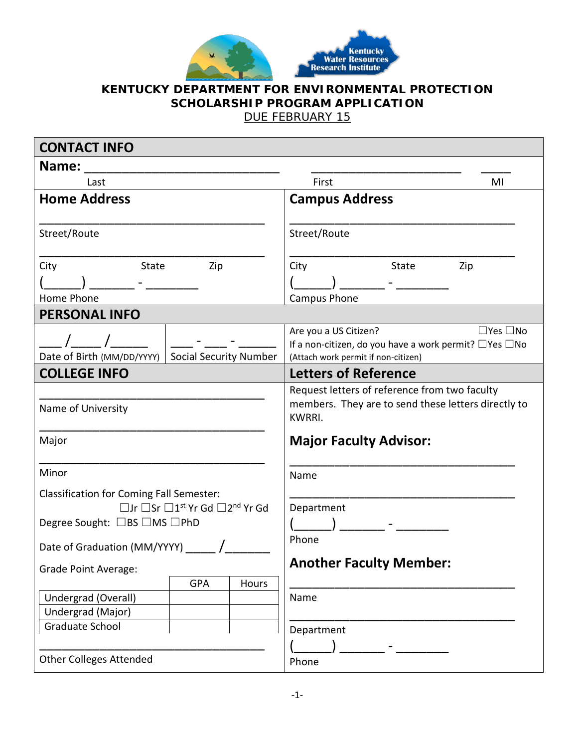

## **KENTUCKY DEPARTMENT FOR ENVIRONMENTAL PROTECTION SCHOLARSHIP PROGRAM APPLICATION**

DUE FEBRUARY 15

| <b>CONTACT INFO</b>                                         |                                                                                                |
|-------------------------------------------------------------|------------------------------------------------------------------------------------------------|
| Name:                                                       |                                                                                                |
| Last                                                        | First<br>MI                                                                                    |
| <b>Home Address</b>                                         | <b>Campus Address</b>                                                                          |
|                                                             |                                                                                                |
| Street/Route                                                | Street/Route                                                                                   |
| City<br><b>State</b><br>Zip                                 | City<br>State<br>Zip                                                                           |
|                                                             |                                                                                                |
| Home Phone                                                  | Campus Phone                                                                                   |
| <b>PERSONAL INFO</b>                                        |                                                                                                |
|                                                             | Are you a US Citizen?<br>$\Box$ Yes $\Box$ No                                                  |
| Date of Birth (MM/DD/YYYY)<br><b>Social Security Number</b> | If a non-citizen, do you have a work permit? □ Yes □ No<br>(Attach work permit if non-citizen) |
| <b>COLLEGE INFO</b>                                         | <b>Letters of Reference</b>                                                                    |
|                                                             | Request letters of reference from two faculty                                                  |
| Name of University                                          | members. They are to send these letters directly to<br><b>KWRRI.</b>                           |
| Major                                                       | <b>Major Faculty Advisor:</b>                                                                  |
| Minor                                                       | Name                                                                                           |
| <b>Classification for Coming Fall Semester:</b>             |                                                                                                |
| □Jr □Sr □1 <sup>st</sup> Yr Gd □2 <sup>nd</sup> Yr Gd       | Department                                                                                     |
| Degree Sought: □BS □MS □PhD                                 |                                                                                                |
| Date of Graduation (MM/YYYY)                                | Phone                                                                                          |
| <b>Grade Point Average:</b>                                 | <b>Another Faculty Member:</b>                                                                 |
| <b>GPA</b><br>Hours                                         |                                                                                                |
| Undergrad (Overall)                                         | Name                                                                                           |
| Undergrad (Major)                                           |                                                                                                |
| Graduate School                                             | Department                                                                                     |
|                                                             |                                                                                                |
| <b>Other Colleges Attended</b>                              | Phone                                                                                          |